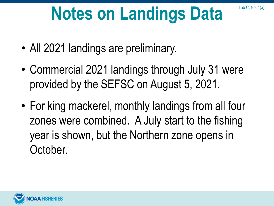## **Notes on Landings Data**

Tab C, No. 4(a)

- All 2021 landings are preliminary.
- Commercial 2021 landings through July 31 were provided by the SEFSC on August 5, 2021.
- For king mackerel, monthly landings from all four zones were combined. A July start to the fishing year is shown, but the Northern zone opens in October.

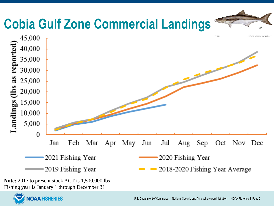

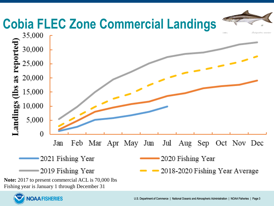

**OAA FISHERIES**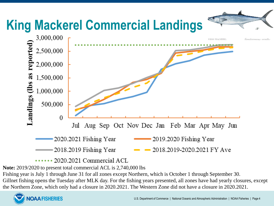

**Note:** 2019/2020 to present total commercial ACL is 2,740,000 lbs

Fishing year is July 1 through June 31 for all zones except Northern, which is October 1 through September 30.

Gillnet fishing opens the Tuesday after MLK day. For the fishing years presented, all zones have had yearly closures, except the Northern Zone, which only had a closure in 2020.2021. The Western Zone did not have a closure in 2020.2021.